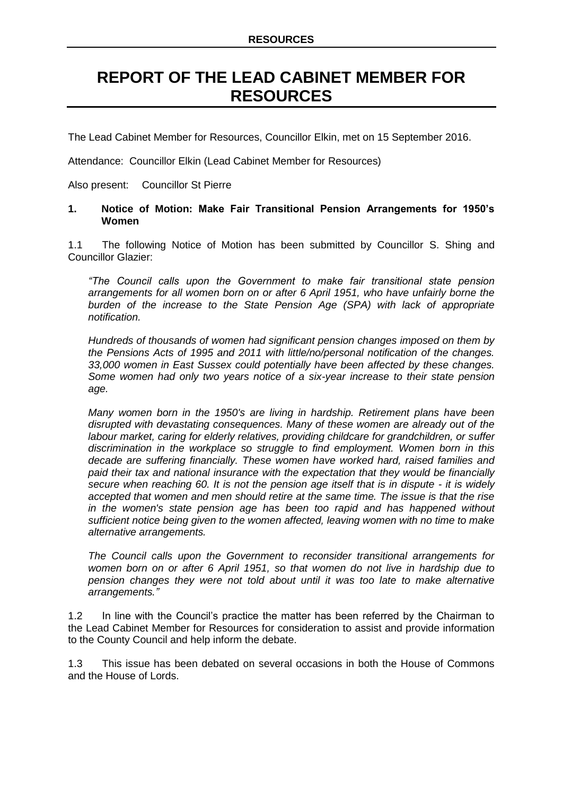## **REPORT OF THE LEAD CABINET MEMBER FOR RESOURCES**

The Lead Cabinet Member for Resources, Councillor Elkin, met on 15 September 2016.

Attendance: Councillor Elkin (Lead Cabinet Member for Resources)

Also present: Councillor St Pierre

## **1. Notice of Motion: Make Fair Transitional Pension Arrangements for 1950's Women**

1.1 The following Notice of Motion has been submitted by Councillor S. Shing and Councillor Glazier:

*"The Council calls upon the Government to make fair transitional state pension arrangements for all women born on or after 6 April 1951, who have unfairly borne the*  burden of the increase to the State Pension Age (SPA) with lack of appropriate *notification.*

*Hundreds of thousands of women had significant pension changes imposed on them by the Pensions Acts of 1995 and 2011 with little/no/personal notification of the changes. 33,000 women in East Sussex could potentially have been affected by these changes. Some women had only two years notice of a six-year increase to their state pension age.*

*Many women born in the 1950's are living in hardship. Retirement plans have been disrupted with devastating consequences. Many of these women are already out of the labour market, caring for elderly relatives, providing childcare for grandchildren, or suffer discrimination in the workplace so struggle to find employment. Women born in this decade are suffering financially. These women have worked hard, raised families and paid their tax and national insurance with the expectation that they would be financially secure when reaching 60. It is not the pension age itself that is in dispute - it is widely accepted that women and men should retire at the same time. The issue is that the rise in the women's state pension age has been too rapid and has happened without sufficient notice being given to the women affected, leaving women with no time to make alternative arrangements.*

*The Council calls upon the Government to reconsider transitional arrangements for women born on or after 6 April 1951, so that women do not live in hardship due to pension changes they were not told about until it was too late to make alternative arrangements."*

1.2 In line with the Council's practice the matter has been referred by the Chairman to the Lead Cabinet Member for Resources for consideration to assist and provide information to the County Council and help inform the debate.

1.3 This issue has been debated on several occasions in both the House of Commons and the House of Lords.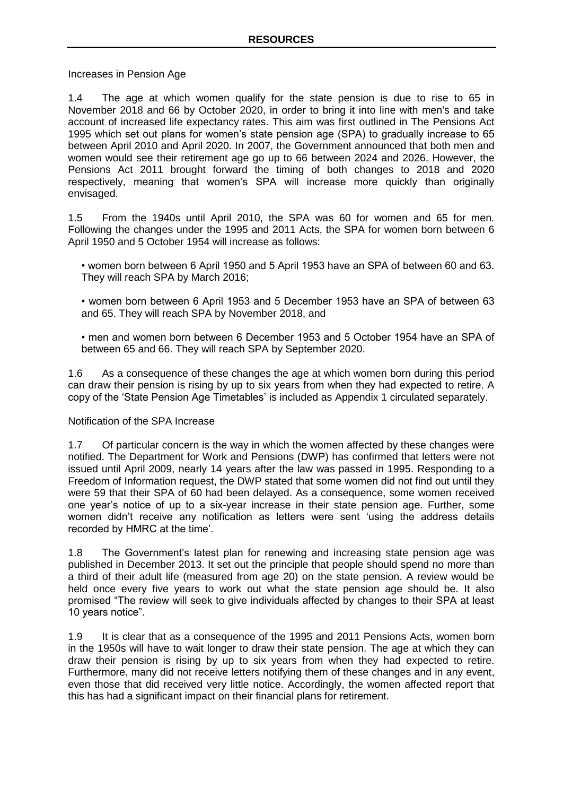Increases in Pension Age

1.4 The age at which women qualify for the state pension is due to rise to 65 in November 2018 and 66 by October 2020, in order to bring it into line with men's and take account of increased life expectancy rates. This aim was first outlined in The Pensions Act 1995 which set out plans for women's state pension age (SPA) to gradually increase to 65 between April 2010 and April 2020. In 2007, the Government announced that both men and women would see their retirement age go up to 66 between 2024 and 2026. However, the Pensions Act 2011 brought forward the timing of both changes to 2018 and 2020 respectively, meaning that women's SPA will increase more quickly than originally envisaged.

1.5 From the 1940s until April 2010, the SPA was 60 for women and 65 for men. Following the changes under the 1995 and 2011 Acts, the SPA for women born between 6 April 1950 and 5 October 1954 will increase as follows:

• women born between 6 April 1950 and 5 April 1953 have an SPA of between 60 and 63. They will reach SPA by March 2016;

• women born between 6 April 1953 and 5 December 1953 have an SPA of between 63 and 65. They will reach SPA by November 2018, and

• men and women born between 6 December 1953 and 5 October 1954 have an SPA of between 65 and 66. They will reach SPA by September 2020.

1.6 As a consequence of these changes the age at which women born during this period can draw their pension is rising by up to six years from when they had expected to retire. A copy of the 'State Pension Age Timetables' is included as Appendix 1 circulated separately.

## Notification of the SPA Increase

1.7 Of particular concern is the way in which the women affected by these changes were notified. The Department for Work and Pensions (DWP) has confirmed that letters were not issued until April 2009, nearly 14 years after the law was passed in 1995. Responding to a Freedom of Information request, the DWP stated that some women did not find out until they were 59 that their SPA of 60 had been delayed. As a consequence, some women received one year's notice of up to a six-year increase in their state pension age. Further, some women didn't receive any notification as letters were sent 'using the address details recorded by HMRC at the time'.

1.8 The Government's latest plan for renewing and increasing state pension age was published in December 2013. It set out the principle that people should spend no more than a third of their adult life (measured from age 20) on the state pension. A review would be held once every five years to work out what the state pension age should be. It also promised "The review will seek to give individuals affected by changes to their SPA at least 10 years notice".

1.9 It is clear that as a consequence of the 1995 and 2011 Pensions Acts, women born in the 1950s will have to wait longer to draw their state pension. The age at which they can draw their pension is rising by up to six years from when they had expected to retire. Furthermore, many did not receive letters notifying them of these changes and in any event, even those that did received very little notice. Accordingly, the women affected report that this has had a significant impact on their financial plans for retirement.